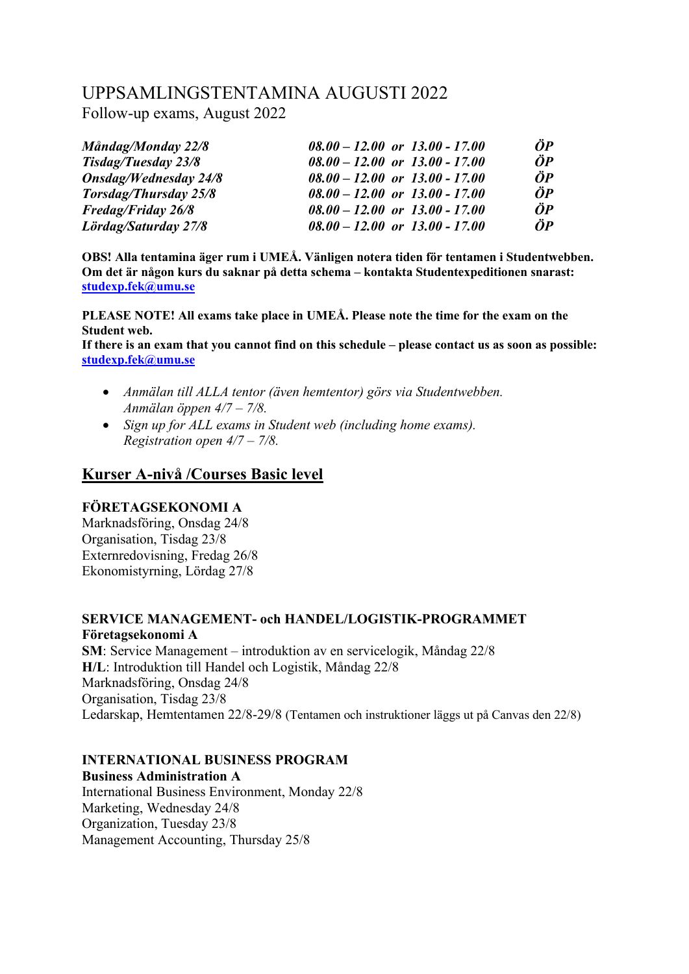# UPPSAMLINGSTENTAMINA AUGUSTI 2022

Follow-up exams, August 2022

| Måndag/Monday 22/8           | $08.00 - 12.00$ or $13.00 - 17.00$ | ÖP          |
|------------------------------|------------------------------------|-------------|
| <b>Tisdag/Tuesday 23/8</b>   | $08.00 - 12.00$ or $13.00 - 17.00$ | $\ddot{O}P$ |
| <b>Onsdag/Wednesday 24/8</b> | $08.00 - 12.00$ or $13.00 - 17.00$ | $\ddot{O}P$ |
| <b>Torsdag/Thursday 25/8</b> | $08.00 - 12.00$ or $13.00 - 17.00$ | $\ddot{O}P$ |
| <b>Fredag/Friday 26/8</b>    | $08.00 - 12.00$ or $13.00 - 17.00$ | $\ddot{O}P$ |
| Lördag/Saturday 27/8         | $08.00 - 12.00$ or $13.00 - 17.00$ | ÖP          |

**OBS! Alla tentamina äger rum i UMEÅ. Vänligen notera tiden för tentamen i Studentwebben. Om det är någon kurs du saknar på detta schema – kontakta Studentexpeditionen snarast: [studexp.fek@umu.se](mailto:studexp.fek@umu.se)**

**PLEASE NOTE! All exams take place in UMEÅ. Please note the time for the exam on the Student web.**

**If there is an exam that you cannot find on this schedule – please contact us as soon as possible: [studexp.fek@umu.se](mailto:studexp.fek@umu.se)**

- *Anmälan till ALLA tentor (även hemtentor) görs via Studentwebben. Anmälan öppen 4/7 – 7/8.*
- *Sign up for ALL exams in Student web (including home exams). Registration open 4/7 – 7/8.*

# **Kurser A-nivå /Courses Basic level**

# **FÖRETAGSEKONOMI A**

Marknadsföring, Onsdag 24/8 Organisation, Tisdag 23/8 Externredovisning, Fredag 26/8 Ekonomistyrning, Lördag 27/8

# **SERVICE MANAGEMENT- och HANDEL/LOGISTIK-PROGRAMMET Företagsekonomi A**

**SM**: Service Management – introduktion av en servicelogik, Måndag 22/8 **H/L**: Introduktion till Handel och Logistik, Måndag 22/8 Marknadsföring, Onsdag 24/8 Organisation, Tisdag 23/8 Ledarskap, Hemtentamen 22/8-29/8 (Tentamen och instruktioner läggs ut på Canvas den 22/8)

# **INTERNATIONAL BUSINESS PROGRAM**

**Business Administration A** International Business Environment, Monday 22/8 Marketing, Wednesday 24/8 Organization, Tuesday 23/8 Management Accounting, Thursday 25/8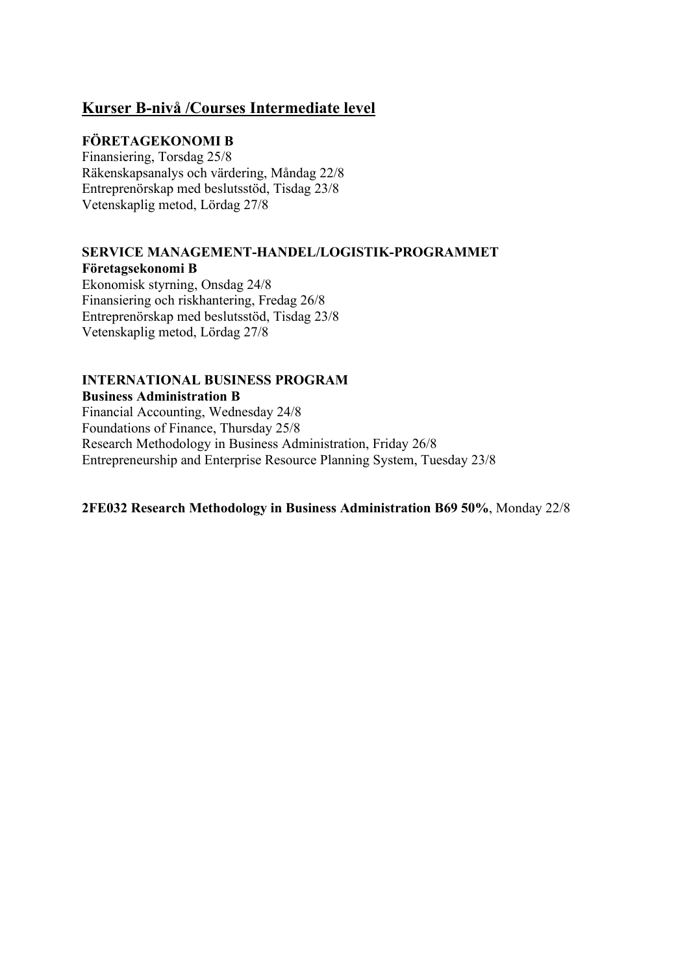# **Kurser B-nivå /Courses Intermediate level**

# **FÖRETAGEKONOMI B**

Finansiering, Torsdag 25/8 Räkenskapsanalys och värdering, Måndag 22/8 Entreprenörskap med beslutsstöd, Tisdag 23/8 Vetenskaplig metod, Lördag 27/8

# **SERVICE MANAGEMENT-HANDEL/LOGISTIK-PROGRAMMET Företagsekonomi B**

Ekonomisk styrning, Onsdag 24/8 Finansiering och riskhantering, Fredag 26/8 Entreprenörskap med beslutsstöd, Tisdag 23/8 Vetenskaplig metod, Lördag 27/8

#### **INTERNATIONAL BUSINESS PROGRAM Business Administration B**

Financial Accounting, Wednesday 24/8 Foundations of Finance, Thursday 25/8 Research Methodology in Business Administration, Friday 26/8 Entrepreneurship and Enterprise Resource Planning System, Tuesday 23/8

### **2FE032 Research Methodology in Business Administration B69 50%**, Monday 22/8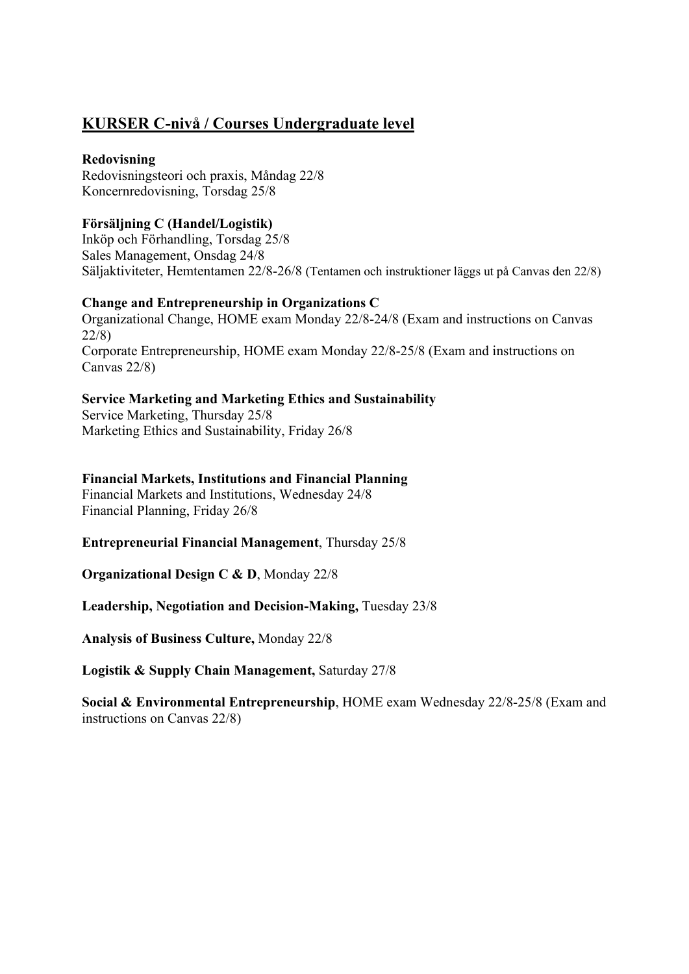# **KURSER C-nivå / Courses Undergraduate level**

### **Redovisning**

Redovisningsteori och praxis, Måndag 22/8 Koncernredovisning, Torsdag 25/8

### **Försäljning C (Handel/Logistik)**

Inköp och Förhandling, Torsdag 25/8 Sales Management, Onsdag 24/8 Säljaktiviteter, Hemtentamen 22/8-26/8 (Tentamen och instruktioner läggs ut på Canvas den 22/8)

# **Change and Entrepreneurship in Organizations C**

Organizational Change, HOME exam Monday 22/8-24/8 (Exam and instructions on Canvas 22/8) Corporate Entrepreneurship, HOME exam Monday 22/8-25/8 (Exam and instructions on Canvas 22/8)

# **Service Marketing and Marketing Ethics and Sustainability**

Service Marketing, Thursday 25/8 Marketing Ethics and Sustainability, Friday 26/8

### **Financial Markets, Institutions and Financial Planning**

Financial Markets and Institutions, Wednesday 24/8 Financial Planning, Friday 26/8

**Entrepreneurial Financial Management**, Thursday 25/8

**Organizational Design C & D**, Monday 22/8

**Leadership, Negotiation and Decision-Making,** Tuesday 23/8

**Analysis of Business Culture,** Monday 22/8

**Logistik & Supply Chain Management,** Saturday 27/8

**Social & Environmental Entrepreneurship**, HOME exam Wednesday 22/8-25/8 (Exam and instructions on Canvas 22/8)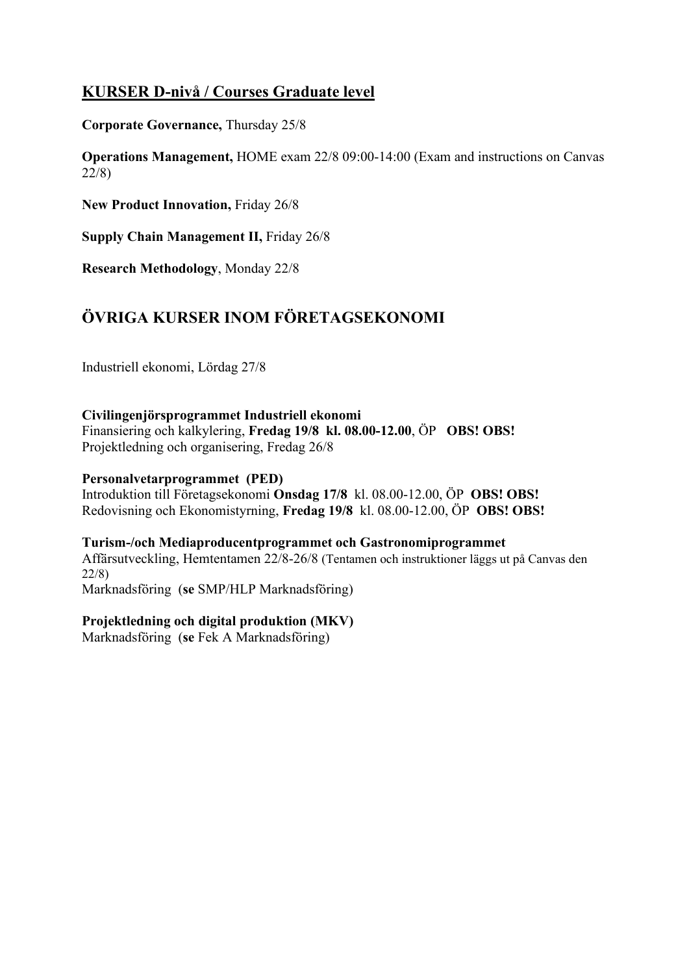# **KURSER D-nivå / Courses Graduate level**

**Corporate Governance,** Thursday 25/8

**Operations Management,** HOME exam 22/8 09:00-14:00 (Exam and instructions on Canvas 22/8)

**New Product Innovation,** Friday 26/8

**Supply Chain Management II,** Friday 26/8

**Research Methodology**, Monday 22/8

# **ÖVRIGA KURSER INOM FÖRETAGSEKONOMI**

Industriell ekonomi, Lördag 27/8

**Civilingenjörsprogrammet Industriell ekonomi**  Finansiering och kalkylering, **Fredag 19/8 kl. 08.00-12.00**, ÖP **OBS! OBS!**

Projektledning och organisering, Fredag 26/8

# **Personalvetarprogrammet (PED)**

Introduktion till Företagsekonomi **Onsdag 17/8** kl. 08.00-12.00, ÖP **OBS! OBS!** Redovisning och Ekonomistyrning, **Fredag 19/8** kl. 08.00-12.00, ÖP **OBS! OBS!**

### **Turism-/och Mediaproducentprogrammet och Gastronomiprogrammet**

Affärsutveckling, Hemtentamen 22/8-26/8 (Tentamen och instruktioner läggs ut på Canvas den 22/8)

Marknadsföring (**se** SMP/HLP Marknadsföring)

### **Projektledning och digital produktion (MKV)**

Marknadsföring (**se** Fek A Marknadsföring)